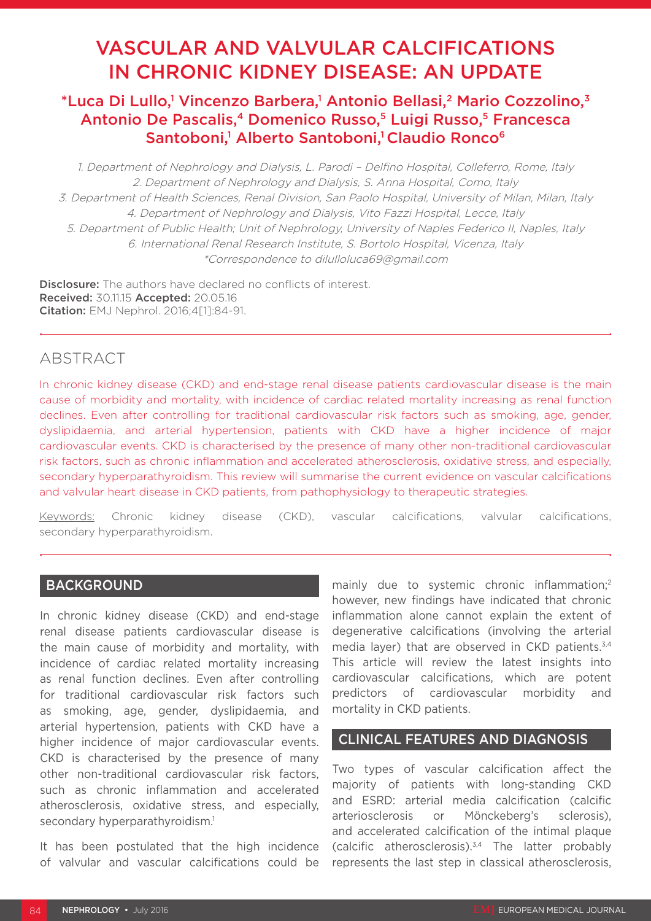# VASCULAR AND VALVULAR CALCIFICATIONS IN CHRONIC KIDNEY DISEASE: AN UPDATE

## \*Luca Di Lullo,<sup>1</sup> Vincenzo Barbera,<sup>1</sup> Antonio Bellasi,<sup>2</sup> Mario Cozzolino,<sup>3</sup> Antonio De Pascalis,<sup>4</sup> Domenico Russo,<sup>5</sup> Luigi Russo,<sup>5</sup> Francesca Santoboni,<sup>1</sup> Alberto Santoboni,<sup>1</sup> Claudio Ronco<sup>6</sup>

1. Department of Nephrology and Dialysis, L. Parodi – Delfino Hospital, Colleferro, Rome, Italy 2. Department of Nephrology and Dialysis, S. Anna Hospital, Como, Italy 3. Department of Health Sciences, Renal Division, San Paolo Hospital, University of Milan, Milan, Italy 4. Department of Nephrology and Dialysis, Vito Fazzi Hospital, Lecce, Italy 5. Department of Public Health; Unit of Nephrology, University of Naples Federico II, Naples, Italy 6. International Renal Research Institute, S. Bortolo Hospital, Vicenza, Italy \*Correspondence to dilulloluca69@gmail.com

**Disclosure:** The authors have declared no conflicts of interest. Received: 30.11.15 Accepted: 20.05.16 Citation: EMJ Nephrol. 2016;4[1]:84-91.

## ABSTRACT

In chronic kidney disease (CKD) and end-stage renal disease patients cardiovascular disease is the main cause of morbidity and mortality, with incidence of cardiac related mortality increasing as renal function declines. Even after controlling for traditional cardiovascular risk factors such as smoking, age, gender, dyslipidaemia, and arterial hypertension, patients with CKD have a higher incidence of major cardiovascular events. CKD is characterised by the presence of many other non-traditional cardiovascular risk factors, such as chronic inflammation and accelerated atherosclerosis, oxidative stress, and especially, secondary hyperparathyroidism. This review will summarise the current evidence on vascular calcifications and valvular heart disease in CKD patients, from pathophysiology to therapeutic strategies.

Keywords: Chronic kidney disease (CKD), vascular calcifications, valvular calcifications, secondary hyperparathyroidism.

## BACKGROUND

In chronic kidney disease (CKD) and end-stage renal disease patients cardiovascular disease is the main cause of morbidity and mortality, with incidence of cardiac related mortality increasing as renal function declines. Even after controlling for traditional cardiovascular risk factors such as smoking, age, gender, dyslipidaemia, and arterial hypertension, patients with CKD have a higher incidence of major cardiovascular events. CKD is characterised by the presence of many other non-traditional cardiovascular risk factors, such as chronic inflammation and accelerated atherosclerosis, oxidative stress, and especially, secondary hyperparathyroidism.<sup>1</sup>

It has been postulated that the high incidence of valvular and vascular calcifications could be mainly due to systemic chronic inflammation;<sup>2</sup> however, new findings have indicated that chronic inflammation alone cannot explain the extent of degenerative calcifications (involving the arterial media layer) that are observed in CKD patients.<sup>3,4</sup> This article will review the latest insights into cardiovascular calcifications, which are potent predictors of cardiovascular morbidity and mortality in CKD patients.

### CLINICAL FEATURES AND DIAGNOSIS

Two types of vascular calcification affect the majority of patients with long-standing CKD and ESRD: arterial media calcification (calcific arteriosclerosis or Mönckeberg's sclerosis), and accelerated calcification of the intimal plaque (calcific atherosclerosis).3,4 The latter probably represents the last step in classical atherosclerosis,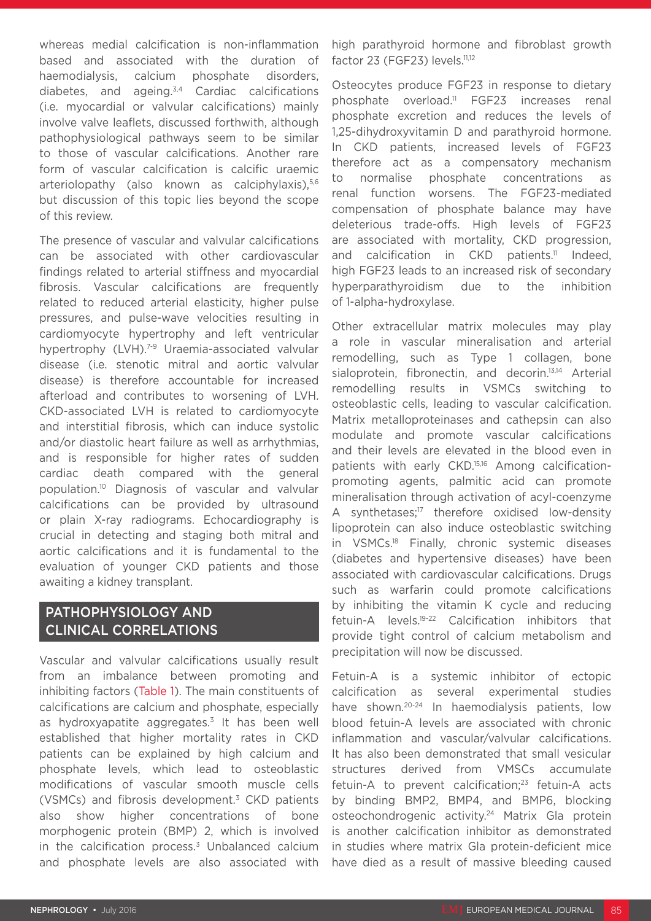whereas medial calcification is non-inflammation based and associated with the duration of haemodialysis, calcium phosphate disorders, diabetes, and ageing.3,4 Cardiac calcifications (i.e. myocardial or valvular calcifications) mainly involve valve leaflets, discussed forthwith, although pathophysiological pathways seem to be similar to those of vascular calcifications. Another rare form of vascular calcification is calcific uraemic arteriolopathy (also known as calciphylaxis),<sup>5,6</sup> but discussion of this topic lies beyond the scope of this review.

The presence of vascular and valvular calcifications can be associated with other cardiovascular findings related to arterial stiffness and myocardial fibrosis. Vascular calcifications are frequently related to reduced arterial elasticity, higher pulse pressures, and pulse-wave velocities resulting in cardiomyocyte hypertrophy and left ventricular hypertrophy (LVH).<sup>7-9</sup> Uraemia-associated valvular disease (i.e. stenotic mitral and aortic valvular disease) is therefore accountable for increased afterload and contributes to worsening of LVH. CKD-associated LVH is related to cardiomyocyte and interstitial fibrosis, which can induce systolic and/or diastolic heart failure as well as arrhythmias, and is responsible for higher rates of sudden cardiac death compared with the general population.10 Diagnosis of vascular and valvular calcifications can be provided by ultrasound or plain X-ray radiograms. Echocardiography is crucial in detecting and staging both mitral and aortic calcifications and it is fundamental to the evaluation of younger CKD patients and those awaiting a kidney transplant.

## PATHOPHYSIOLOGY AND CLINICAL CORRELATIONS

Vascular and valvular calcifications usually result from an imbalance between promoting and inhibiting factors (Table 1). The main constituents of calcifications are calcium and phosphate, especially as hydroxyapatite aggregates.<sup>3</sup> It has been well established that higher mortality rates in CKD patients can be explained by high calcium and phosphate levels, which lead to osteoblastic modifications of vascular smooth muscle cells (VSMCs) and fibrosis development.3 CKD patients also show higher concentrations of bone morphogenic protein (BMP) 2, which is involved in the calcification process. $3$  Unbalanced calcium and phosphate levels are also associated with

high parathyroid hormone and fibroblast growth factor 23 (FGF23) levels.<sup>11,12</sup>

Osteocytes produce FGF23 in response to dietary phosphate overload.11 FGF23 increases renal phosphate excretion and reduces the levels of 1,25-dihydroxyvitamin D and parathyroid hormone. In CKD patients, increased levels of FGF23 therefore act as a compensatory mechanism to normalise phosphate concentrations as renal function worsens. The FGF23-mediated compensation of phosphate balance may have deleterious trade-offs. High levels of FGF23 are associated with mortality, CKD progression, and calcification in CKD patients.<sup>11</sup> Indeed, high FGF23 leads to an increased risk of secondary hyperparathyroidism due to the inhibition of 1-alpha-hydroxylase.

Other extracellular matrix molecules may play a role in vascular mineralisation and arterial remodelling, such as Type 1 collagen, bone sialoprotein, fibronectin, and decorin.<sup>13,14</sup> Arterial remodelling results in VSMCs switching to osteoblastic cells, leading to vascular calcification. Matrix metalloproteinases and cathepsin can also modulate and promote vascular calcifications and their levels are elevated in the blood even in patients with early CKD.15,16 Among calcificationpromoting agents, palmitic acid can promote mineralisation through activation of acyl-coenzyme A synthetases;<sup>17</sup> therefore oxidised low-density lipoprotein can also induce osteoblastic switching in VSMCs.18 Finally, chronic systemic diseases (diabetes and hypertensive diseases) have been associated with cardiovascular calcifications. Drugs such as warfarin could promote calcifications by inhibiting the vitamin K cycle and reducing fetuin-A levels.19-22 Calcification inhibitors that provide tight control of calcium metabolism and precipitation will now be discussed.

Fetuin-A is a systemic inhibitor of ectopic calcification as several experimental studies have shown.20-24 In haemodialysis patients, low blood fetuin-A levels are associated with chronic inflammation and vascular/valvular calcifications. It has also been demonstrated that small vesicular structures derived from VMSCs accumulate fetuin-A to prevent calcification;<sup>23</sup> fetuin-A acts by binding BMP2, BMP4, and BMP6, blocking osteochondrogenic activity.<sup>24</sup> Matrix Gla protein is another calcification inhibitor as demonstrated in studies where matrix Gla protein-deficient mice have died as a result of massive bleeding caused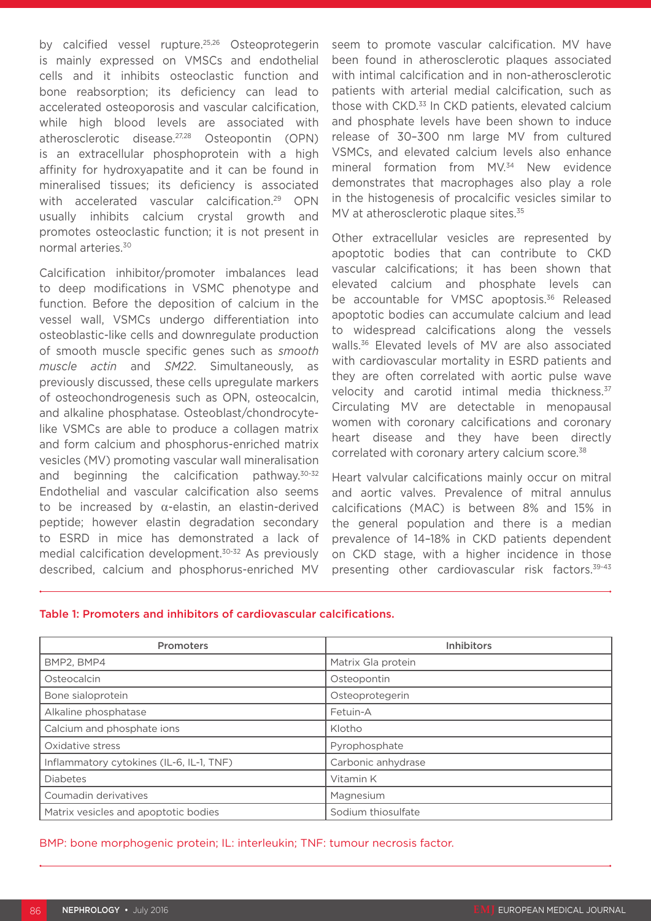by calcified vessel rupture.<sup>25,26</sup> Osteoprotegerin is mainly expressed on VMSCs and endothelial cells and it inhibits osteoclastic function and bone reabsorption; its deficiency can lead to accelerated osteoporosis and vascular calcification, while high blood levels are associated with atherosclerotic disease.27,28 Osteopontin (OPN) is an extracellular phosphoprotein with a high affinity for hydroxyapatite and it can be found in mineralised tissues; its deficiency is associated with accelerated vascular calcification.<sup>29</sup> OPN usually inhibits calcium crystal growth and promotes osteoclastic function; it is not present in normal arteries.30

Calcification inhibitor/promoter imbalances lead to deep modifications in VSMC phenotype and function. Before the deposition of calcium in the vessel wall, VSMCs undergo differentiation into osteoblastic-like cells and downregulate production of smooth muscle specific genes such as *smooth muscle actin* and *SM22*. Simultaneously, as previously discussed, these cells upregulate markers of osteochondrogenesis such as OPN, osteocalcin, and alkaline phosphatase. Osteoblast/chondrocytelike VSMCs are able to produce a collagen matrix and form calcium and phosphorus-enriched matrix vesicles (MV) promoting vascular wall mineralisation and beginning the calcification pathway.30-32 Endothelial and vascular calcification also seems to be increased by α-elastin, an elastin-derived peptide; however elastin degradation secondary to ESRD in mice has demonstrated a lack of medial calcification development.30-32 As previously described, calcium and phosphorus-enriched MV

seem to promote vascular calcification. MV have been found in atherosclerotic plaques associated with intimal calcification and in non-atherosclerotic patients with arterial medial calcification, such as those with CKD.<sup>33</sup> In CKD patients, elevated calcium and phosphate levels have been shown to induce release of 30–300 nm large MV from cultured VSMCs, and elevated calcium levels also enhance mineral formation from MV.<sup>34</sup> New evidence demonstrates that macrophages also play a role in the histogenesis of procalcific vesicles similar to MV at atherosclerotic plaque sites.<sup>35</sup>

Other extracellular vesicles are represented by apoptotic bodies that can contribute to CKD vascular calcifications; it has been shown that elevated calcium and phosphate levels can be accountable for VMSC apoptosis.<sup>36</sup> Released apoptotic bodies can accumulate calcium and lead to widespread calcifications along the vessels walls.36 Elevated levels of MV are also associated with cardiovascular mortality in ESRD patients and they are often correlated with aortic pulse wave velocity and carotid intimal media thickness.<sup>37</sup> Circulating MV are detectable in menopausal women with coronary calcifications and coronary heart disease and they have been directly correlated with coronary artery calcium score.<sup>38</sup>

Heart valvular calcifications mainly occur on mitral and aortic valves. Prevalence of mitral annulus calcifications (MAC) is between 8% and 15% in the general population and there is a median prevalence of 14–18% in CKD patients dependent on CKD stage, with a higher incidence in those presenting other cardiovascular risk factors.39-43

#### Table 1: Promoters and inhibitors of cardiovascular calcifications.

| <b>Promoters</b>                         | <b>Inhibitors</b>  |
|------------------------------------------|--------------------|
| BMP2, BMP4                               | Matrix Gla protein |
| Osteocalcin                              | Osteopontin        |
| Bone sialoprotein                        | Osteoprotegerin    |
| Alkaline phosphatase                     | Fetuin-A           |
| Calcium and phosphate ions               | Klotho             |
| Oxidative stress                         | Pyrophosphate      |
| Inflammatory cytokines (IL-6, IL-1, TNF) | Carbonic anhydrase |
| <b>Diabetes</b>                          | Vitamin K          |
| Coumadin derivatives                     | Magnesium          |
| Matrix vesicles and apoptotic bodies     | Sodium thiosulfate |

BMP: bone morphogenic protein; IL: interleukin; TNF: tumour necrosis factor.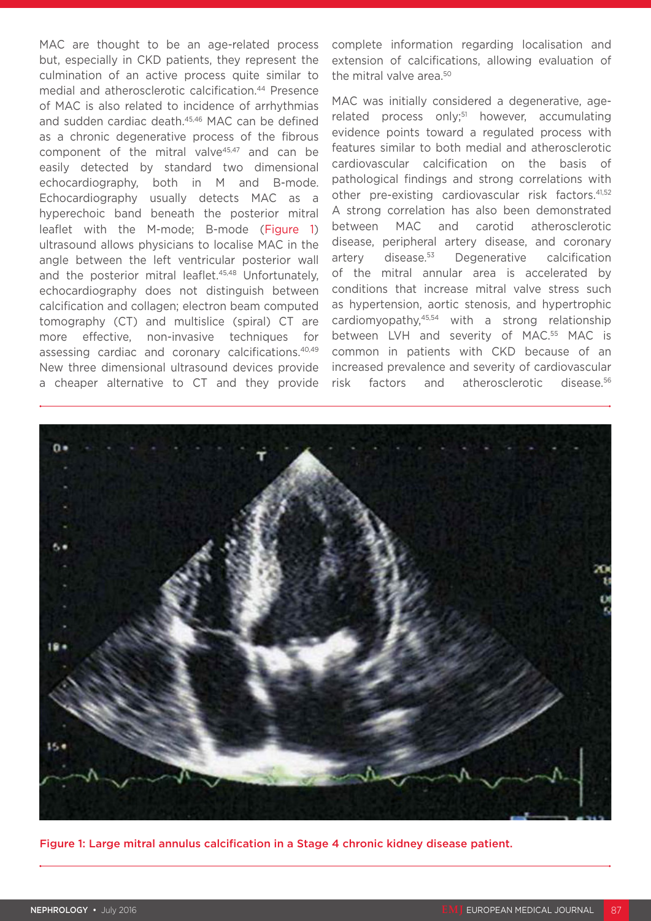MAC are thought to be an age-related process but, especially in CKD patients, they represent the culmination of an active process quite similar to medial and atherosclerotic calcification.44 Presence of MAC is also related to incidence of arrhythmias and sudden cardiac death.45,46 MAC can be defined as a chronic degenerative process of the fibrous component of the mitral valve $45,47$  and can be easily detected by standard two dimensional echocardiography, both in M and B-mode. Echocardiography usually detects MAC as a hyperechoic band beneath the posterior mitral leaflet with the M-mode; B-mode (Figure 1) ultrasound allows physicians to localise MAC in the angle between the left ventricular posterior wall and the posterior mitral leaflet.<sup>45,48</sup> Unfortunately, echocardiography does not distinguish between calcification and collagen; electron beam computed tomography (CT) and multislice (spiral) CT are more effective, non-invasive techniques for assessing cardiac and coronary calcifications.40,49 New three dimensional ultrasound devices provide a cheaper alternative to CT and they provide

complete information regarding localisation and extension of calcifications, allowing evaluation of the mitral valve area.<sup>50</sup>

MAC was initially considered a degenerative, agerelated process only;<sup>51</sup> however, accumulating evidence points toward a regulated process with features similar to both medial and atherosclerotic cardiovascular calcification on the basis of pathological findings and strong correlations with other pre-existing cardiovascular risk factors.<sup>41,52</sup> A strong correlation has also been demonstrated between MAC and carotid atherosclerotic disease, peripheral artery disease, and coronary artery disease.53 Degenerative calcification of the mitral annular area is accelerated by conditions that increase mitral valve stress such as hypertension, aortic stenosis, and hypertrophic cardiomyopathy,45,54 with a strong relationship between LVH and severity of MAC.<sup>55</sup> MAC is common in patients with CKD because of an increased prevalence and severity of cardiovascular risk factors and atherosclerotic disease.56



Figure 1: Large mitral annulus calcification in a Stage 4 chronic kidney disease patient.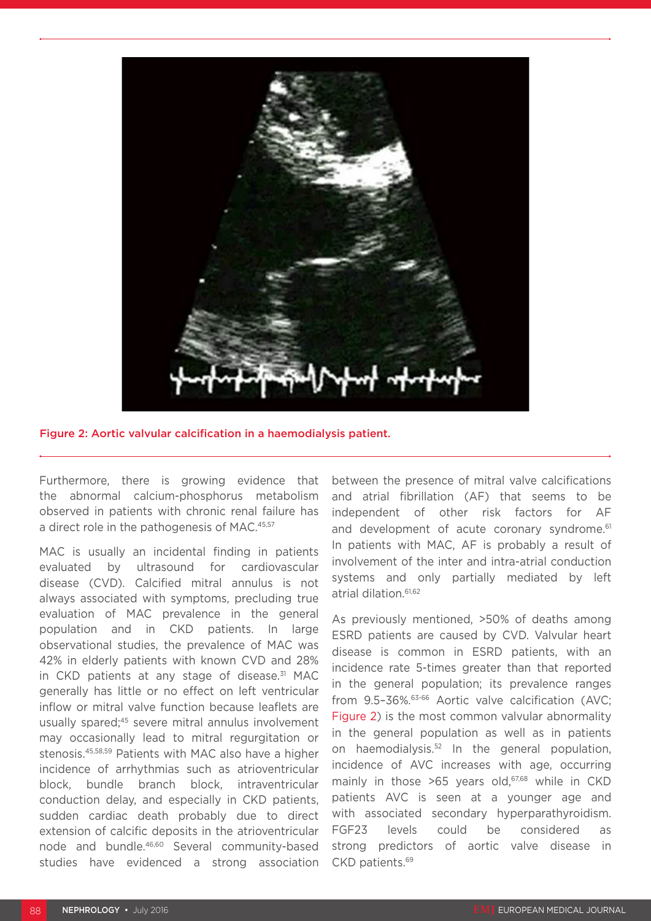

Figure 2: Aortic valvular calcification in a haemodialysis patient.

Furthermore, there is growing evidence that the abnormal calcium-phosphorus metabolism observed in patients with chronic renal failure has a direct role in the pathogenesis of MAC.<sup>45,57</sup>

MAC is usually an incidental finding in patients evaluated by ultrasound for cardiovascular disease (CVD). Calcified mitral annulus is not always associated with symptoms, precluding true evaluation of MAC prevalence in the general population and in CKD patients. In large observational studies, the prevalence of MAC was 42% in elderly patients with known CVD and 28% in CKD patients at any stage of disease.<sup>31</sup> MAC generally has little or no effect on left ventricular inflow or mitral valve function because leaflets are usually spared;<sup>45</sup> severe mitral annulus involvement may occasionally lead to mitral regurgitation or stenosis.45,58,59 Patients with MAC also have a higher incidence of arrhythmias such as atrioventricular block, bundle branch block, intraventricular conduction delay, and especially in CKD patients, sudden cardiac death probably due to direct extension of calcific deposits in the atrioventricular node and bundle.<sup>46,60</sup> Several community-based studies have evidenced a strong association between the presence of mitral valve calcifications and atrial fibrillation (AF) that seems to be independent of other risk factors for AF and development of acute coronary syndrome.<sup>61</sup> In patients with MAC, AF is probably a result of involvement of the inter and intra-atrial conduction systems and only partially mediated by left atrial dilation.61,62

As previously mentioned, >50% of deaths among ESRD patients are caused by CVD. Valvular heart disease is common in ESRD patients, with an incidence rate 5-times greater than that reported in the general population; its prevalence ranges from 9.5-36%.<sup>63-66</sup> Aortic valve calcification (AVC; Figure 2) is the most common valvular abnormality in the general population as well as in patients on haemodialysis.52 In the general population, incidence of AVC increases with age, occurring mainly in those  $>65$  years old,<sup>67,68</sup> while in CKD patients AVC is seen at a younger age and with associated secondary hyperparathyroidism. FGF23 levels could be considered as strong predictors of aortic valve disease in CKD patients.69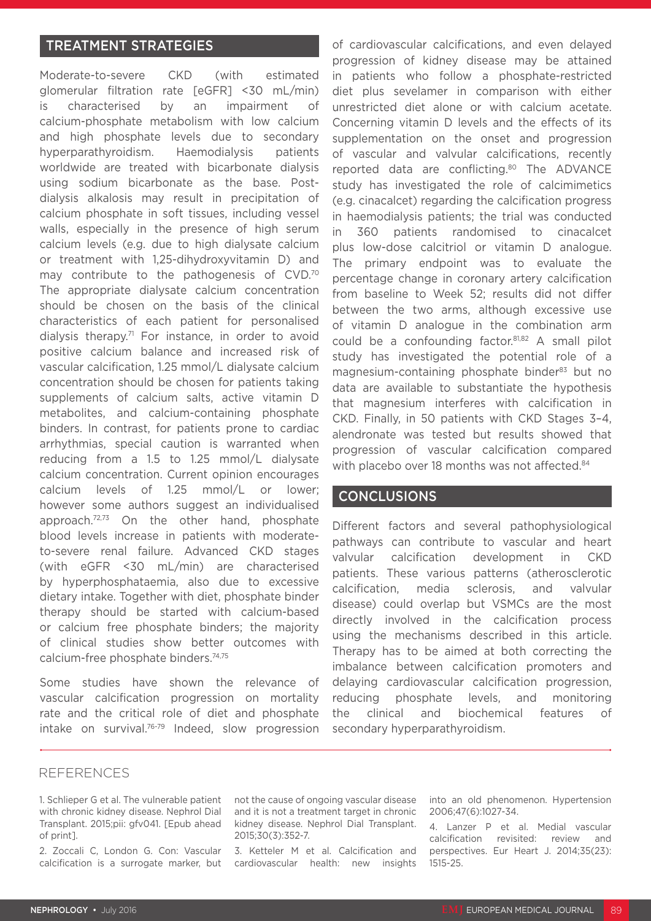### TREATMENT STRATEGIES

Moderate-to-severe CKD (with estimated glomerular filtration rate [eGFR] <30 mL/min) is characterised by an impairment of calcium-phosphate metabolism with low calcium and high phosphate levels due to secondary hyperparathyroidism. Haemodialysis patients worldwide are treated with bicarbonate dialysis using sodium bicarbonate as the base. Postdialysis alkalosis may result in precipitation of calcium phosphate in soft tissues, including vessel walls, especially in the presence of high serum calcium levels (e.g. due to high dialysate calcium or treatment with 1,25-dihydroxyvitamin D) and may contribute to the pathogenesis of CVD.70 The appropriate dialysate calcium concentration should be chosen on the basis of the clinical characteristics of each patient for personalised dialysis therapy.71 For instance, in order to avoid positive calcium balance and increased risk of vascular calcification, 1.25 mmol/L dialysate calcium concentration should be chosen for patients taking supplements of calcium salts, active vitamin D metabolites, and calcium-containing phosphate binders. In contrast, for patients prone to cardiac arrhythmias, special caution is warranted when reducing from a 1.5 to 1.25 mmol/L dialysate calcium concentration. Current opinion encourages calcium levels of 1.25 mmol/L or lower; however some authors suggest an individualised approach.<sup>72,73</sup> On the other hand, phosphate blood levels increase in patients with moderateto-severe renal failure. Advanced CKD stages (with eGFR <30 mL/min) are characterised by hyperphosphataemia, also due to excessive dietary intake. Together with diet, phosphate binder therapy should be started with calcium-based or calcium free phosphate binders; the majority of clinical studies show better outcomes with calcium-free phosphate binders.74,75

Some studies have shown the relevance of vascular calcification progression on mortality rate and the critical role of diet and phosphate intake on survival.76-79 Indeed, slow progression of cardiovascular calcifications, and even delayed progression of kidney disease may be attained in patients who follow a phosphate-restricted diet plus sevelamer in comparison with either unrestricted diet alone or with calcium acetate. Concerning vitamin D levels and the effects of its supplementation on the onset and progression of vascular and valvular calcifications, recently reported data are conflicting.<sup>80</sup> The ADVANCE study has investigated the role of calcimimetics (e.g. cinacalcet) regarding the calcification progress in haemodialysis patients; the trial was conducted in 360 patients randomised to cinacalcet plus low-dose calcitriol or vitamin D analogue. The primary endpoint was to evaluate the percentage change in coronary artery calcification from baseline to Week 52; results did not differ between the two arms, although excessive use of vitamin D analogue in the combination arm could be a confounding factor.81,82 A small pilot study has investigated the potential role of a magnesium-containing phosphate binder<sup>83</sup> but no data are available to substantiate the hypothesis that magnesium interferes with calcification in CKD. Finally, in 50 patients with CKD Stages 3–4, alendronate was tested but results showed that progression of vascular calcification compared with placebo over 18 months was not affected.<sup>84</sup>

## CONCLUSIONS

Different factors and several pathophysiological pathways can contribute to vascular and heart valvular calcification development in CKD patients. These various patterns (atherosclerotic calcification, media sclerosis, and valvular disease) could overlap but VSMCs are the most directly involved in the calcification process using the mechanisms described in this article. Therapy has to be aimed at both correcting the imbalance between calcification promoters and delaying cardiovascular calcification progression, reducing phosphate levels, and monitoring the clinical and biochemical features of secondary hyperparathyroidism.

#### REFERENCES

1. Schlieper G et al. The vulnerable patient with chronic kidney disease. Nephrol Dial Transplant. 2015;pii: gfv041. [Epub ahead of print].

2. Zoccali C, London G. Con: Vascular calcification is a surrogate marker, but not the cause of ongoing vascular disease and it is not a treatment target in chronic kidney disease. Nephrol Dial Transplant. 2015;30(3):352-7.

3. Ketteler M et al. Calcification and cardiovascular health: new insights into an old phenomenon. Hypertension 2006;47(6):1027-34.

4. Lanzer P et al. Medial vascular calcification revisited: review and perspectives. Eur Heart J. 2014;35(23): 1515-25.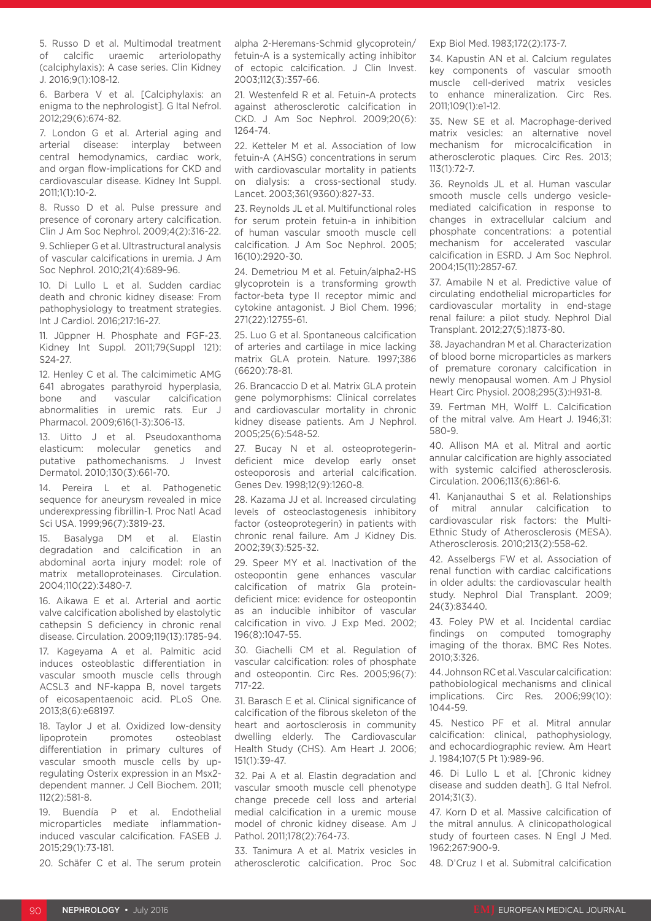5. Russo D et al. Multimodal treatment of calcific uraemic arteriolopathy (calciphylaxis): A case series. Clin Kidney J. 2016;9(1):108-12.

6. Barbera V et al. [Calciphylaxis: an enigma to the nephrologist]. G Ital Nefrol. 2012;29(6):674-82.

7. London G et al. Arterial aging and arterial disease: interplay between central hemodynamics, cardiac work, and organ flow-implications for CKD and cardiovascular disease. Kidney Int Suppl. 2011;1(1):10-2.

8. Russo D et al. Pulse pressure and presence of coronary artery calcification. Clin J Am Soc Nephrol. 2009;4(2):316-22.

9. Schlieper G et al. Ultrastructural analysis of vascular calcifications in uremia. J Am Soc Nephrol. 2010;21(4):689-96.

10. Di Lullo L et al. Sudden cardiac death and chronic kidney disease: From pathophysiology to treatment strategies. Int J Cardiol. 2016;217:16-27.

11. Jüppner H. Phosphate and FGF-23. Kidney Int Suppl. 2011;79(Suppl 121): S24-27.

12. Henley C et al. The calcimimetic AMG 641 abrogates parathyroid hyperplasia, bone and vascular calcification abnormalities in uremic rats. Eur J Pharmacol. 2009;616(1-3):306-13.

13. Uitto J et al. Pseudoxanthoma elasticum: molecular genetics and putative pathomechanisms. J Invest Dermatol. 2010;130(3):661-70.

14. Pereira L et al. Pathogenetic sequence for aneurysm revealed in mice underexpressing fibrillin-1. Proc Natl Acad Sci USA. 1999;96(7):3819-23.

15. Basalyga DM et al. Elastin degradation and calcification in an abdominal aorta injury model: role of matrix metalloproteinases. Circulation. 2004;110(22):3480-7.

16. Aikawa E et al. Arterial and aortic valve calcification abolished by elastolytic cathepsin S deficiency in chronic renal disease. Circulation. 2009;119(13):1785-94.

17. Kageyama A et al. Palmitic acid induces osteoblastic differentiation in vascular smooth muscle cells through ACSL3 and NF-kappa B, novel targets of eicosapentaenoic acid. PLoS One. 2013;8(6):e68197.

18. Taylor J et al. Oxidized low-density lipoprotein promotes osteoblast differentiation in primary cultures of vascular smooth muscle cells by upregulating Osterix expression in an Msx2 dependent manner. J Cell Biochem. 2011; 112(2):581-8.

19. Buendía P et al. Endothelial microparticles mediate inflammationinduced vascular calcification. FASEB J. 2015;29(1):73-181.

20. Schäfer C et al. The serum protein

alpha 2-Heremans-Schmid glycoprotein/ fetuin-A is a systemically acting inhibitor of ectopic calcification. J Clin Invest. 2003;112(3):357-66.

21. Westenfeld R et al. Fetuin-A protects against atherosclerotic calcification in CKD. J Am Soc Nephrol. 2009;20(6): 1264-74.

22. Ketteler M et al. Association of low fetuin-A (AHSG) concentrations in serum with cardiovascular mortality in patients on dialysis: a cross-sectional study. Lancet. 2003;361(9360):827-33.

23. Reynolds JL et al. Multifunctional roles for serum protein fetuin-a in inhibition of human vascular smooth muscle cell calcification. J Am Soc Nephrol. 2005; 16(10):2920-30.

24. Demetriou M et al. Fetuin/alpha2-HS glycoprotein is a transforming growth factor-beta type II receptor mimic and cytokine antagonist. J Biol Chem. 1996; 271(22):12755-61.

25. Luo G et al. Spontaneous calcification of arteries and cartilage in mice lacking matrix GLA protein. Nature. 1997;386 (6620):78-81.

26. Brancaccio D et al. Matrix GLA protein gene polymorphisms: Clinical correlates and cardiovascular mortality in chronic kidney disease patients. Am J Nephrol. 2005;25(6):548-52.

27. Bucay N et al. osteoprotegerindeficient mice develop early onset osteoporosis and arterial calcification. Genes Dev. 1998;12(9):1260-8.

28. Kazama JJ et al. Increased circulating levels of osteoclastogenesis inhibitory factor (osteoprotegerin) in patients with chronic renal failure. Am J Kidney Dis. 2002;39(3):525-32.

29. Speer MY et al. Inactivation of the osteopontin gene enhances vascular calcification of matrix Gla proteindeficient mice: evidence for osteopontin as an inducible inhibitor of vascular calcification in vivo. J Exp Med. 2002; 196(8):1047-55.

30. Giachelli CM et al. Regulation of vascular calcification: roles of phosphate and osteopontin. Circ Res. 2005;96(7): 717-22.

31. Barasch E et al. Clinical significance of calcification of the fibrous skeleton of the heart and aortosclerosis in community dwelling elderly. The Cardiovascular Health Study (CHS). Am Heart J. 2006; 151(1):39-47.

32. Pai A et al. Elastin degradation and vascular smooth muscle cell phenotype change precede cell loss and arterial medial calcification in a uremic mouse model of chronic kidney disease. Am J Pathol. 2011;178(2):764-73.

33. Tanimura A et al. Matrix vesicles in atherosclerotic calcification. Proc Soc

#### Exp Biol Med. 1983;172(2):173-7.

34. Kapustin AN et al. Calcium regulates key components of vascular smooth muscle cell-derived matrix vesicles to enhance mineralization. Circ Res. 2011;109(1):e1-12.

35. New SE et al. Macrophage-derived matrix vesicles: an alternative novel mechanism for microcalcification in atherosclerotic plaques. Circ Res. 2013;  $113(1):72-7$ 

36. Reynolds JL et al. Human vascular smooth muscle cells undergo vesiclemediated calcification in response to changes in extracellular calcium and phosphate concentrations: a potential mechanism for accelerated vascular calcification in ESRD. J Am Soc Nephrol. 2004;15(11):2857-67.

37. Amabile N et al. Predictive value of circulating endothelial microparticles for cardiovascular mortality in end-stage renal failure: a pilot study. Nephrol Dial Transplant. 2012;27(5):1873-80.

38. Jayachandran M et al. Characterization of blood borne microparticles as markers of premature coronary calcification in newly menopausal women. Am J Physiol Heart Circ Physiol. 2008;295(3):H931-8.

39. Fertman MH, Wolff L. Calcification of the mitral valve. Am Heart J. 1946;31: 580-9.

40. Allison MA et al. Mitral and aortic annular calcification are highly associated with systemic calcified atherosclerosis. Circulation. 2006;113(6):861-6.

41. Kanjanauthai S et al. Relationships of mitral annular calcification to cardiovascular risk factors: the Multi-Ethnic Study of Atherosclerosis (MESA). Atherosclerosis. 2010;213(2):558-62.

42. Asselbergs FW et al. Association of renal function with cardiac calcifications in older adults: the cardiovascular health study. Nephrol Dial Transplant. 2009; 24(3):83440.

43. Foley PW et al. Incidental cardiac findings on computed tomography imaging of the thorax. BMC Res Notes. 2010;3:326.

44. Johnson RC et al. Vascular calcification: pathobiological mechanisms and clinical implications. Circ Res. 2006;99(10): 1044-59.

45. Nestico PF et al. Mitral annular calcification: clinical, pathophysiology, and echocardiographic review. Am Heart J. 1984;107(5 Pt 1):989-96.

46. Di Lullo L et al. [Chronic kidney disease and sudden death]. G Ital Nefrol. 2014;31(3).

47. Korn D et al. Massive calcification of the mitral annulus. A clinicopathological study of fourteen cases. N Engl J Med. 1962;267:900-9.

48. D'Cruz I et al. Submitral calcification